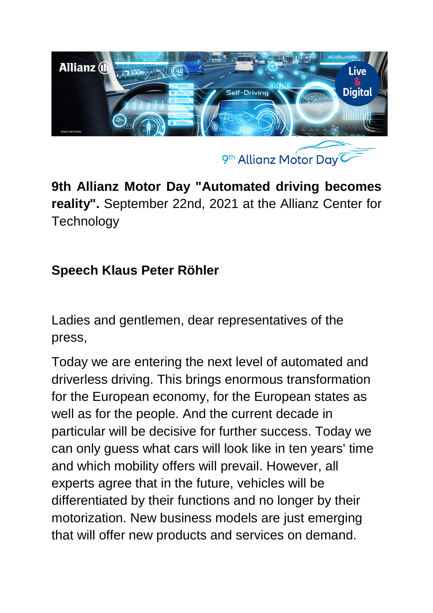

**9th Allianz Motor Day "Automated driving becomes reality".** September 22nd, 2021 at the Allianz Center for **Technology** 

## **Speech Klaus Peter Röhler**

Ladies and gentlemen, dear representatives of the press,

Today we are entering the next level of automated and driverless driving. This brings enormous transformation for the European economy, for the European states as well as for the people. And the current decade in particular will be decisive for further success. Today we can only guess what cars will look like in ten years' time and which mobility offers will prevail. However, all experts agree that in the future, vehicles will be differentiated by their functions and no longer by their motorization. New business models are just emerging that will offer new products and services on demand.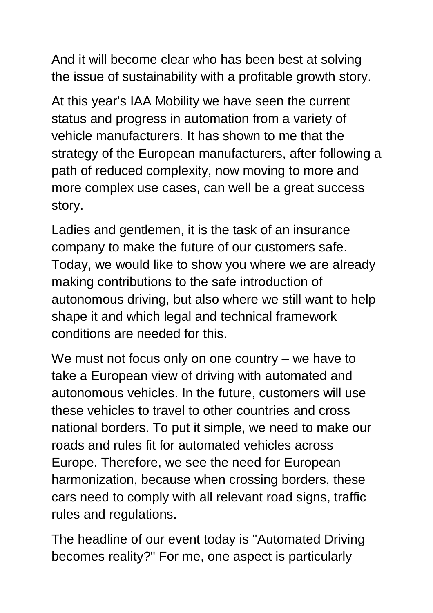And it will become clear who has been best at solving the issue of sustainability with a profitable growth story.

At this year's IAA Mobility we have seen the current status and progress in automation from a variety of vehicle manufacturers. It has shown to me that the strategy of the European manufacturers, after following a path of reduced complexity, now moving to more and more complex use cases, can well be a great success story.

Ladies and gentlemen, it is the task of an insurance company to make the future of our customers safe. Today, we would like to show you where we are already making contributions to the safe introduction of autonomous driving, but also where we still want to help shape it and which legal and technical framework conditions are needed for this.

We must not focus only on one country – we have to take a European view of driving with automated and autonomous vehicles. In the future, customers will use these vehicles to travel to other countries and cross national borders. To put it simple, we need to make our roads and rules fit for automated vehicles across Europe. Therefore, we see the need for European harmonization, because when crossing borders, these cars need to comply with all relevant road signs, traffic rules and regulations.

The headline of our event today is "Automated Driving becomes reality?" For me, one aspect is particularly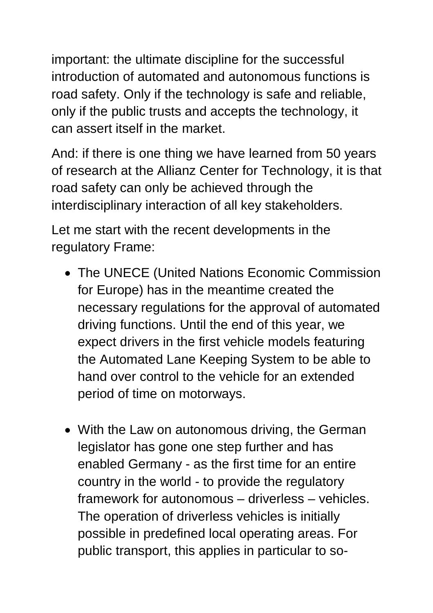important: the ultimate discipline for the successful introduction of automated and autonomous functions is road safety. Only if the technology is safe and reliable, only if the public trusts and accepts the technology, it can assert itself in the market.

And: if there is one thing we have learned from 50 years of research at the Allianz Center for Technology, it is that road safety can only be achieved through the interdisciplinary interaction of all key stakeholders.

Let me start with the recent developments in the regulatory Frame:

- The UNECE (United Nations Economic Commission for Europe) has in the meantime created the necessary regulations for the approval of automated driving functions. Until the end of this year, we expect drivers in the first vehicle models featuring the Automated Lane Keeping System to be able to hand over control to the vehicle for an extended period of time on motorways.
- With the Law on autonomous driving, the German legislator has gone one step further and has enabled Germany - as the first time for an entire country in the world - to provide the regulatory framework for autonomous – driverless – vehicles. The operation of driverless vehicles is initially possible in predefined local operating areas. For public transport, this applies in particular to so-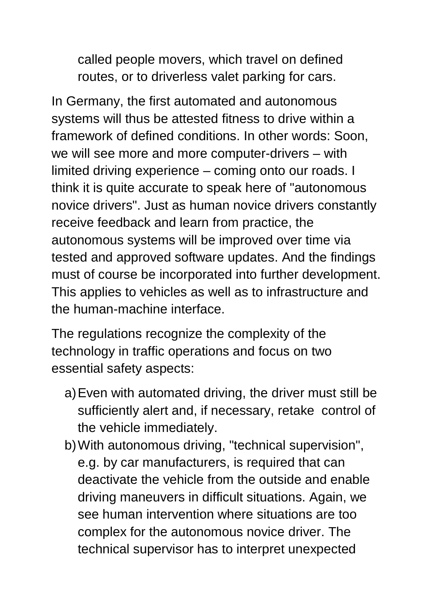called people movers, which travel on defined routes, or to driverless valet parking for cars.

In Germany, the first automated and autonomous systems will thus be attested fitness to drive within a framework of defined conditions. In other words: Soon, we will see more and more computer-drivers – with limited driving experience – coming onto our roads. I think it is quite accurate to speak here of "autonomous novice drivers". Just as human novice drivers constantly receive feedback and learn from practice, the autonomous systems will be improved over time via tested and approved software updates. And the findings must of course be incorporated into further development. This applies to vehicles as well as to infrastructure and the human-machine interface.

The regulations recognize the complexity of the technology in traffic operations and focus on two essential safety aspects:

- a) Even with automated driving, the driver must still be sufficiently alert and, if necessary, retake control of the vehicle immediately.
- b) With autonomous driving, "technical supervision", e.g. by car manufacturers, is required that can deactivate the vehicle from the outside and enable driving maneuvers in difficult situations. Again, we see human intervention where situations are too complex for the autonomous novice driver. The technical supervisor has to interpret unexpected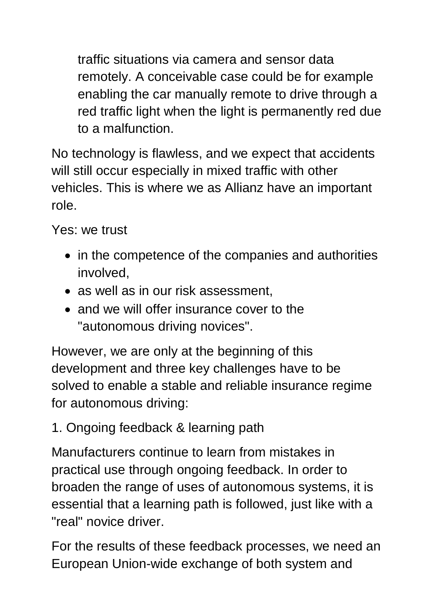traffic situations via camera and sensor data remotely. A conceivable case could be for example enabling the car manually remote to drive through a red traffic light when the light is permanently red due to a malfunction.

No technology is flawless, and we expect that accidents will still occur especially in mixed traffic with other vehicles. This is where we as Allianz have an important role.

Yes: we trust

- in the competence of the companies and authorities involved,
- as well as in our risk assessment,
- and we will offer insurance cover to the "autonomous driving novices".

However, we are only at the beginning of this development and three key challenges have to be solved to enable a stable and reliable insurance regime for autonomous driving:

1. Ongoing feedback & learning path

Manufacturers continue to learn from mistakes in practical use through ongoing feedback. In order to broaden the range of uses of autonomous systems, it is essential that a learning path is followed, just like with a "real" novice driver.

For the results of these feedback processes, we need an European Union-wide exchange of both system and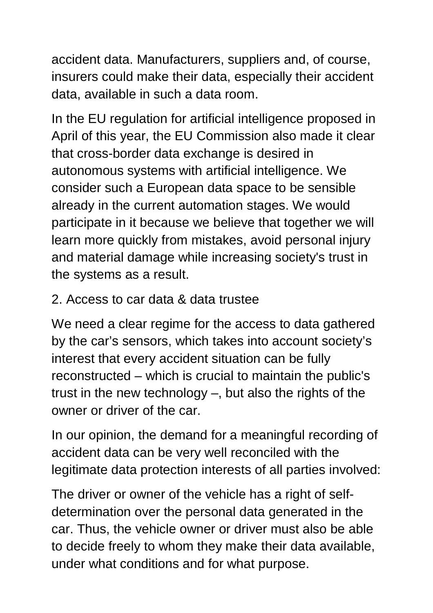accident data. Manufacturers, suppliers and, of course, insurers could make their data, especially their accident data, available in such a data room.

In the EU regulation for artificial intelligence proposed in April of this year, the EU Commission also made it clear that cross-border data exchange is desired in autonomous systems with artificial intelligence. We consider such a European data space to be sensible already in the current automation stages. We would participate in it because we believe that together we will learn more quickly from mistakes, avoid personal injury and material damage while increasing society's trust in the systems as a result.

## 2. Access to car data & data trustee

We need a clear regime for the access to data gathered by the car's sensors, which takes into account society's interest that every accident situation can be fully reconstructed – which is crucial to maintain the public's trust in the new technology –, but also the rights of the owner or driver of the car.

In our opinion, the demand for a meaningful recording of accident data can be very well reconciled with the legitimate data protection interests of all parties involved:

The driver or owner of the vehicle has a right of selfdetermination over the personal data generated in the car. Thus, the vehicle owner or driver must also be able to decide freely to whom they make their data available, under what conditions and for what purpose.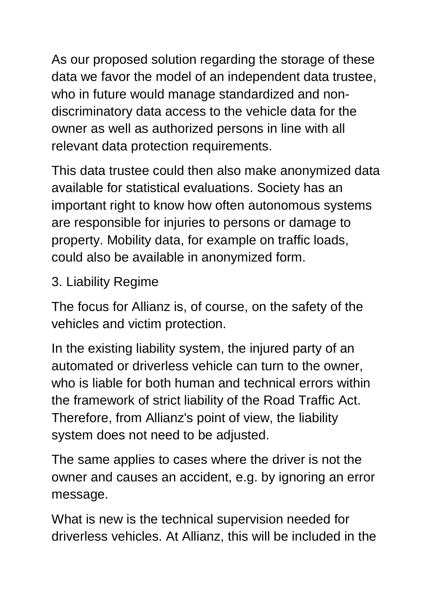As our proposed solution regarding the storage of these data we favor the model of an independent data trustee, who in future would manage standardized and nondiscriminatory data access to the vehicle data for the owner as well as authorized persons in line with all relevant data protection requirements.

This data trustee could then also make anonymized data available for statistical evaluations. Society has an important right to know how often autonomous systems are responsible for injuries to persons or damage to property. Mobility data, for example on traffic loads, could also be available in anonymized form.

## 3. Liability Regime

The focus for Allianz is, of course, on the safety of the vehicles and victim protection.

In the existing liability system, the injured party of an automated or driverless vehicle can turn to the owner, who is liable for both human and technical errors within the framework of strict liability of the Road Traffic Act. Therefore, from Allianz's point of view, the liability system does not need to be adjusted.

The same applies to cases where the driver is not the owner and causes an accident, e.g. by ignoring an error message.

What is new is the technical supervision needed for driverless vehicles. At Allianz, this will be included in the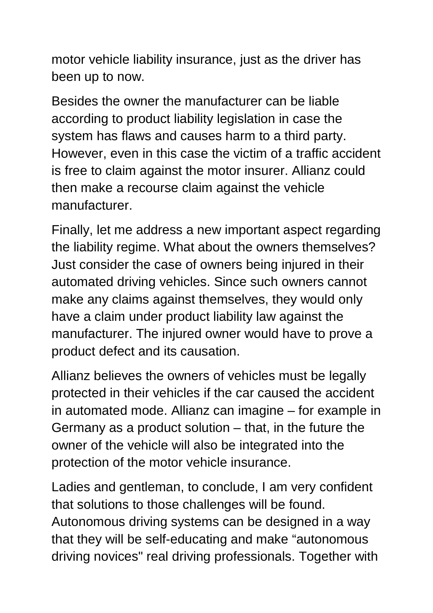motor vehicle liability insurance, just as the driver has been up to now.

Besides the owner the manufacturer can be liable according to product liability legislation in case the system has flaws and causes harm to a third party. However, even in this case the victim of a traffic accident is free to claim against the motor insurer. Allianz could then make a recourse claim against the vehicle manufacturer.

Finally, let me address a new important aspect regarding the liability regime. What about the owners themselves? Just consider the case of owners being injured in their automated driving vehicles. Since such owners cannot make any claims against themselves, they would only have a claim under product liability law against the manufacturer. The injured owner would have to prove a product defect and its causation.

Allianz believes the owners of vehicles must be legally protected in their vehicles if the car caused the accident in automated mode. Allianz can imagine – for example in Germany as a product solution – that, in the future the owner of the vehicle will also be integrated into the protection of the motor vehicle insurance.

Ladies and gentleman, to conclude, I am very confident that solutions to those challenges will be found. Autonomous driving systems can be designed in a way that they will be self-educating and make "autonomous driving novices" real driving professionals. Together with